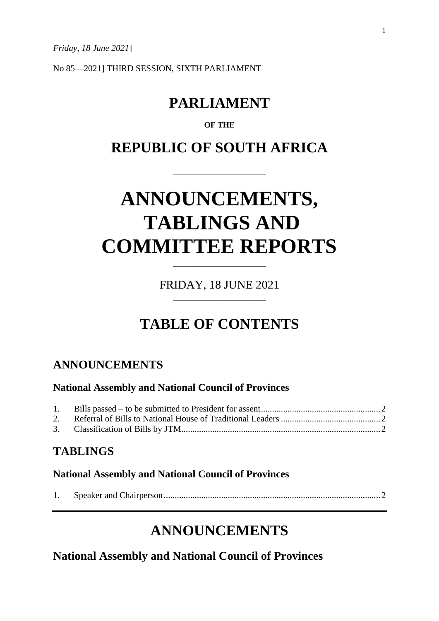*Friday, 18 June 2021*]

No 85—2021] THIRD SESSION, SIXTH PARLIAMENT

## **PARLIAMENT**

### **OF THE**

### **REPUBLIC OF SOUTH AFRICA**

\_\_\_\_\_\_\_\_\_\_\_\_\_\_\_\_\_\_\_\_\_

# **ANNOUNCEMENTS, TABLINGS AND COMMITTEE REPORTS**

FRIDAY, 18 JUNE 2021 \_\_\_\_\_\_\_\_\_\_\_\_\_\_\_\_\_\_\_\_\_

\_\_\_\_\_\_\_\_\_\_\_\_\_\_\_\_\_\_\_\_\_

# **TABLE OF CONTENTS**

### **ANNOUNCEMENTS**

### **National Assembly and National Council of Provinces**

### **TABLINGS**

### **National Assembly and National Council of Provinces**

|--|--|--|--|

### **ANNOUNCEMENTS**

**National Assembly and National Council of Provinces**